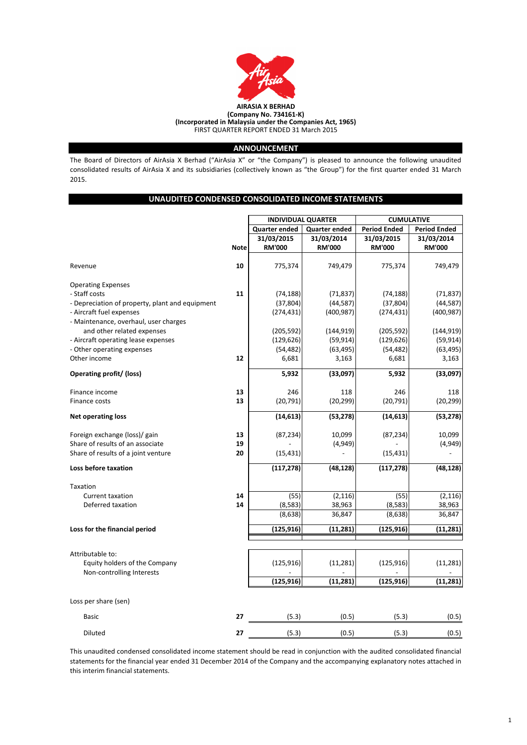|                                                 |             | <b>INDIVIDUAL QUARTER</b> |                      |                     | <b>CUMULATIVE</b>   |  |  |
|-------------------------------------------------|-------------|---------------------------|----------------------|---------------------|---------------------|--|--|
|                                                 |             | <b>Quarter ended</b>      | <b>Quarter ended</b> | <b>Period Ended</b> | <b>Period Ended</b> |  |  |
|                                                 |             | 31/03/2015                | 31/03/2014           | 31/03/2015          | 31/03/2014          |  |  |
|                                                 | <b>Note</b> | <b>RM'000</b>             | <b>RM'000</b>        | <b>RM'000</b>       | <b>RM'000</b>       |  |  |
| Revenue                                         | 10          | 775,374                   | 749,479              | 775,374             | 749,479             |  |  |
| <b>Operating Expenses</b>                       |             |                           |                      |                     |                     |  |  |
| - Staff costs                                   | 11          | (74, 188)                 | (71, 837)            | (74, 188)           | (71, 837)           |  |  |
| - Depreciation of property, plant and equipment |             | (37, 804)                 | (44, 587)            | (37, 804)           | (44, 587)           |  |  |
| - Aircraft fuel expenses                        |             | (274, 431)                | (400, 987)           | (274, 431)          | (400, 987)          |  |  |
| - Maintenance, overhaul, user charges           |             |                           |                      |                     |                     |  |  |
| and other related expenses                      |             | (205, 592)                | (144, 919)           | (205, 592)          | (144, 919)          |  |  |
| - Aircraft operating lease expenses             |             | (129, 626)                | (59, 914)            | (129, 626)          | (59, 914)           |  |  |
| - Other operating expenses                      |             | (54, 482)                 | (63, 495)            | (54, 482)           | (63, 495)           |  |  |
| Other income                                    | 12          | 6,681                     | 3,163                | 6,681               | 3,163               |  |  |
| <b>Operating profit/ (loss)</b>                 |             | 5,932                     | (33,097)             | 5,932               | (33,097)            |  |  |
| Finance income                                  | 13          | 246                       | 118                  | 246                 | 118                 |  |  |
| Finance costs                                   | 13          | (20, 791)                 | (20, 299)            | (20, 791)           | (20, 299)           |  |  |
| <b>Net operating loss</b>                       |             | (14, 613)                 | (53, 278)            | (14, 613)           | (53, 278)           |  |  |
| Foreign exchange (loss)/ gain                   | 13          | (87, 234)                 | 10,099               | (87, 234)           | 10,099              |  |  |
| Share of results of an associate                | 19          |                           | (4,949)              |                     | (4,949)             |  |  |
| Share of results of a joint venture             | 20          | (15, 431)                 |                      | (15, 431)           |                     |  |  |
| Loss before taxation                            |             | (117, 278)                | (48, 128)            | (117, 278)          | (48, 128)           |  |  |
| Taxation                                        |             |                           |                      |                     |                     |  |  |
| <b>Current taxation</b>                         | 14          | (55)                      | (2, 116)             | (55)                | (2, 116)            |  |  |
| Deferred taxation                               | 14          | (8,583)                   | 38,963               | (8,583)             | 38,963              |  |  |
|                                                 |             | (8,638)                   | 36,847               | (8,638)             | 36,847              |  |  |
| Loss for the financial period                   |             | (125, 916)                | (11, 281)            | (125, 916)          | (11, 281)           |  |  |
|                                                 |             |                           |                      |                     |                     |  |  |

Attributable to:

| Equity holders of the Company |    | (125, 916)               | (11, 281) | (125, 916)               | (11, 281) |
|-------------------------------|----|--------------------------|-----------|--------------------------|-----------|
| Non-controlling Interests     |    | $\overline{\phantom{0}}$ | $\sim$    | $\overline{\phantom{0}}$ |           |
|                               |    | (125, 916)               | (11, 281) | (125, 916)               | (11, 281) |
| Loss per share (sen)          |    |                          |           |                          |           |
| <b>Basic</b>                  | 27 | (5.3)                    | (0.5)     | (5.3)                    | (0.5)     |
| <b>Diluted</b>                | 27 | (5.3)                    | (0.5)     | (5.3)                    | (0.5)     |



This unaudited condensed consolidated income statement should be read in conjunction with the audited consolidated financial statements for the financial year ended 31 December 2014 of the Company and the accompanying explanatory notes attached in this interim financial statements.

The Board of Directors of AirAsia X Berhad ("AirAsia X" or "the Company") is pleased to announce the following unaudited consolidated results of AirAsia X and its subsidiaries (collectively known as "the Group") for the first quarter ended 31 March 2015.

### **ANNOUNCEMENT**

### **UNAUDITED CONDENSED CONSOLIDATED INCOME STATEMENTS**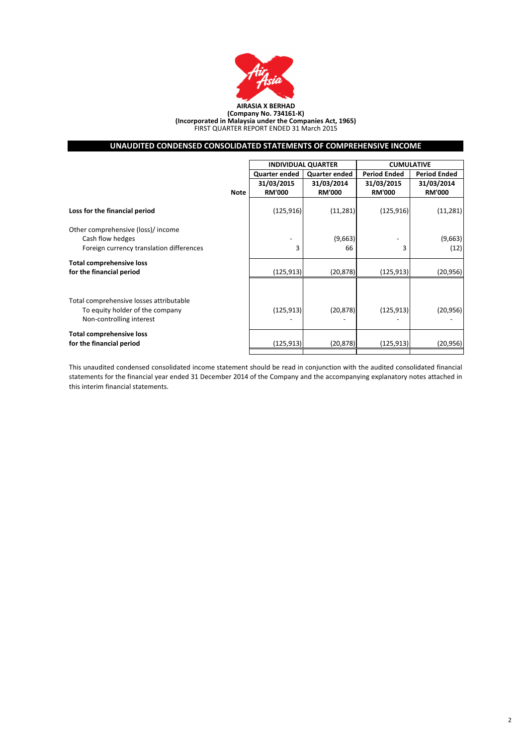|                                                                                                        |             |                      | <b>INDIVIDUAL QUARTER</b> | <b>CUMULATIVE</b>   |                     |  |
|--------------------------------------------------------------------------------------------------------|-------------|----------------------|---------------------------|---------------------|---------------------|--|
|                                                                                                        |             | <b>Quarter ended</b> | <b>Quarter ended</b>      | <b>Period Ended</b> | <b>Period Ended</b> |  |
|                                                                                                        |             | 31/03/2015           | 31/03/2014                | 31/03/2015          | 31/03/2014          |  |
|                                                                                                        | <b>Note</b> | <b>RM'000</b>        | <b>RM'000</b>             | <b>RM'000</b>       | <b>RM'000</b>       |  |
| Loss for the financial period                                                                          |             | (125, 916)           | (11, 281)                 | (125, 916)          | (11, 281)           |  |
| Other comprehensive (loss)/ income                                                                     |             |                      |                           |                     |                     |  |
| Cash flow hedges                                                                                       |             |                      | (9,663)                   |                     | (9,663)             |  |
| Foreign currency translation differences                                                               |             | 3                    | 66                        | 3                   | (12)                |  |
| <b>Total comprehensive loss</b>                                                                        |             |                      |                           |                     |                     |  |
| for the financial period                                                                               |             | (125, 913)           | (20, 878)                 | (125, 913)          | (20, 956)           |  |
|                                                                                                        |             |                      |                           |                     |                     |  |
| Total comprehensive losses attributable<br>To equity holder of the company<br>Non-controlling interest |             | (125, 913)           | (20, 878)                 | (125, 913)          | (20, 956)           |  |
| <b>Total comprehensive loss</b><br>for the financial period                                            |             | (125, 913)           | (20, 878)                 | (125, 913)          | (20, 956)           |  |
|                                                                                                        |             |                      |                           |                     |                     |  |



#### **(Incorporated in Malaysia under the Companies Act, 1965)** FIRST QUARTER REPORT ENDED 31 March 2015

This unaudited condensed consolidated income statement should be read in conjunction with the audited consolidated financial statements for the financial year ended 31 December 2014 of the Company and the accompanying explanatory notes attached in this interim financial statements.

# **UNAUDITED CONDENSED CONSOLIDATED STATEMENTS OF COMPREHENSIVE INCOME**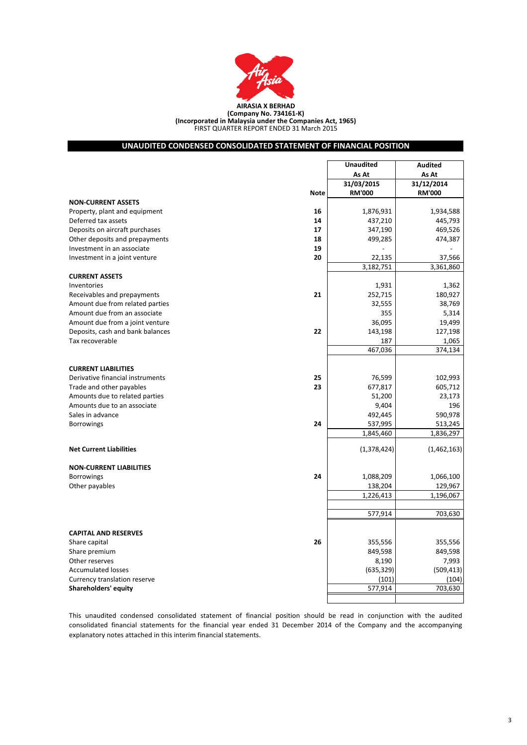| Other reserves               | 8,190      | 7,993      |
|------------------------------|------------|------------|
| Accumulated losses           | (635, 329) | (509, 413) |
| Currency translation reserve | (101)      | (104)      |
| <b>Shareholders' equity</b>  | 577,914    | 703,630    |
|                              |            |            |

|                                  |             | <b>Unaudited</b> | <b>Audited</b> |
|----------------------------------|-------------|------------------|----------------|
|                                  |             | As At            | As At          |
|                                  |             | 31/03/2015       | 31/12/2014     |
|                                  | <b>Note</b> | <b>RM'000</b>    | <b>RM'000</b>  |
| <b>NON-CURRENT ASSETS</b>        |             |                  |                |
| Property, plant and equipment    | 16          | 1,876,931        | 1,934,588      |
| Deferred tax assets              | 14          | 437,210          | 445,793        |
| Deposits on aircraft purchases   | 17          | 347,190          | 469,526        |
| Other deposits and prepayments   | 18          | 499,285          | 474,387        |
| Investment in an associate       | 19          |                  |                |
| Investment in a joint venture    | 20          | 22,135           | 37,566         |
|                                  |             | 3,182,751        | 3,361,860      |
| <b>CURRENT ASSETS</b>            |             |                  |                |
| Inventories                      |             | 1,931            | 1,362          |
| Receivables and prepayments      | 21          | 252,715          | 180,927        |
| Amount due from related parties  |             | 32,555           | 38,769         |
| Amount due from an associate     |             | 355              | 5,314          |
| Amount due from a joint venture  |             | 36,095           | 19,499         |
| Deposits, cash and bank balances | 22          | 143,198          | 127,198        |
| Tax recoverable                  |             | 187              | 1,065          |
|                                  |             | 467,036          | 374,134        |
|                                  |             |                  |                |
| <b>CURRENT LIABILITIES</b>       |             |                  |                |
| Derivative financial instruments | 25          | 76,599           | 102,993        |
| Trade and other payables         | 23          | 677,817          | 605,712        |
| Amounts due to related parties   |             | 51,200           | 23,173         |
| Amounts due to an associate      |             | 9,404            | 196            |
| Sales in advance                 |             | 492,445          | 590,978        |
| <b>Borrowings</b>                | 24          | 537,995          | 513,245        |
|                                  |             | 1,845,460        | 1,836,297      |
|                                  |             |                  |                |
| <b>Net Current Liabilities</b>   |             | (1,378,424)      | (1,462,163)    |
|                                  |             |                  |                |
| <b>NON-CURRENT LIABILITIES</b>   |             |                  |                |
| <b>Borrowings</b>                | 24          | 1,088,209        | 1,066,100      |
| Other payables                   |             | 138,204          | 129,967        |
|                                  |             | 1,226,413        | 1,196,067      |
|                                  |             |                  |                |
|                                  |             | 577,914          | 703,630        |
|                                  |             |                  |                |
| <b>CAPITAL AND RESERVES</b>      |             |                  |                |
| Share capital                    | 26          | 355,556          | 355,556        |
| Share premium                    |             | 849,598          | 849,598        |

| <b>Shareholders' equity</b>  |
|------------------------------|
| Currency translation reserve |
| <b>Accumulated losses</b>    |
| Other reserves               |

This unaudited condensed consolidated statement of financial position should be read in conjunction with the audited consolidated financial statements for the financial year ended 31 December 2014 of the Company and the accompanying explanatory notes attached in this interim financial statements.



### **UNAUDITED CONDENSED CONSOLIDATED STATEMENT OF FINANCIAL POSITION**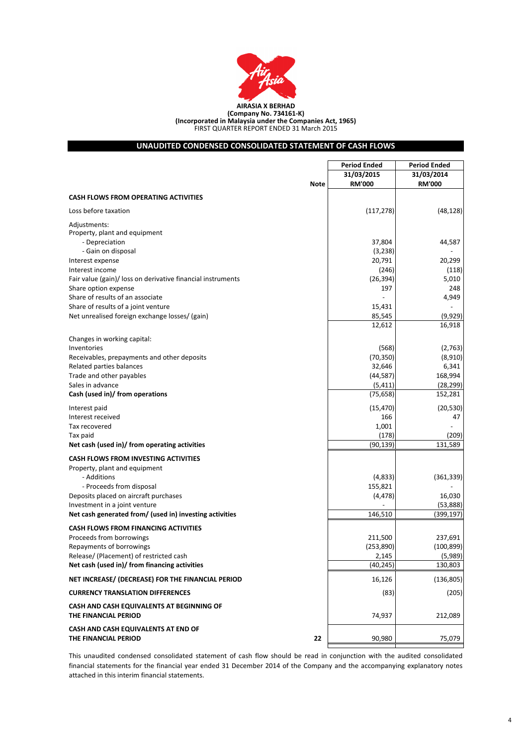|                                                                                          | <b>Period Ended</b> | <b>Period Ended</b>    |  |
|------------------------------------------------------------------------------------------|---------------------|------------------------|--|
|                                                                                          | 31/03/2015          | 31/03/2014             |  |
| <b>Note</b>                                                                              | <b>RM'000</b>       | <b>RM'000</b>          |  |
| <b>CASH FLOWS FROM OPERATING ACTIVITIES</b>                                              |                     |                        |  |
| Loss before taxation                                                                     | (117, 278)          | (48, 128)              |  |
| Adjustments:                                                                             |                     |                        |  |
| Property, plant and equipment                                                            |                     |                        |  |
| - Depreciation                                                                           | 37,804              | 44,587                 |  |
| - Gain on disposal                                                                       | (3, 238)            |                        |  |
| Interest expense<br>Interest income                                                      | 20,791              | 20,299                 |  |
| Fair value (gain)/ loss on derivative financial instruments                              | (246)<br>(26, 394)  | (118)<br>5,010         |  |
| Share option expense                                                                     | 197                 | 248                    |  |
| Share of results of an associate                                                         |                     | 4,949                  |  |
| Share of results of a joint venture                                                      | 15,431              |                        |  |
| Net unrealised foreign exchange losses/ (gain)                                           | 85,545              | (9,929)                |  |
|                                                                                          | 12,612              | 16,918                 |  |
|                                                                                          |                     |                        |  |
| Changes in working capital:                                                              |                     |                        |  |
| Inventories                                                                              | (568)               | (2,763)                |  |
| Receivables, prepayments and other deposits<br>Related parties balances                  | (70, 350)<br>32,646 | (8,910)<br>6,341       |  |
| Trade and other payables                                                                 | (44, 587)           | 168,994                |  |
| Sales in advance                                                                         | (5, 411)            | (28, 299)              |  |
| Cash (used in)/ from operations                                                          | (75, 658)           | 152,281                |  |
|                                                                                          |                     |                        |  |
| Interest paid                                                                            | (15, 470)           | (20, 530)              |  |
| Interest received                                                                        | 166                 | 47                     |  |
| Tax recovered                                                                            | 1,001               |                        |  |
| Tax paid<br>Net cash (used in)/ from operating activities                                | (178)<br>(90, 139)  | (209)<br>131,589       |  |
|                                                                                          |                     |                        |  |
| <b>CASH FLOWS FROM INVESTING ACTIVITIES</b>                                              |                     |                        |  |
| Property, plant and equipment                                                            |                     |                        |  |
| - Additions                                                                              | (4,833)             | (361, 339)             |  |
| - Proceeds from disposal                                                                 | 155,821             |                        |  |
| Deposits placed on aircraft purchases                                                    | (4, 478)            | 16,030                 |  |
| Investment in a joint venture<br>Net cash generated from/ (used in) investing activities | 146,510             | (53,888)<br>(399, 197) |  |
|                                                                                          |                     |                        |  |
| <b>CASH FLOWS FROM FINANCING ACTIVITIES</b>                                              |                     |                        |  |
| Proceeds from borrowings                                                                 | 211,500             | 237,691                |  |
| Repayments of borrowings                                                                 | (253, 890)          | (100, 899)             |  |
| Release/ (Placement) of restricted cash                                                  | 2,145               | (5,989)                |  |
| Net cash (used in)/ from financing activities                                            | (40, 245)           | 130,803                |  |
| NET INCREASE/ (DECREASE) FOR THE FINANCIAL PERIOD                                        | 16,126              | (136, 805)             |  |
| <b>CURRENCY TRANSLATION DIFFERENCES</b>                                                  | (83)                | (205)                  |  |
| CASH AND CASH EQUIVALENTS AT BEGINNING OF<br>THE FINANCIAL PERIOD                        | 74,937              | 212,089                |  |
| CASH AND CASH EQUIVALENTS AT END OF<br>THE FINANCIAL PERIOD<br>22                        | 90,980              | 75,079                 |  |
|                                                                                          |                     |                        |  |

This unaudited condensed consolidated statement of cash flow should be read in conjunction with the audited consolidated financial statements for the financial year ended 31 December 2014 of the Company and the accompanying explanatory notes attached in this interim financial statements.



# **UNAUDITED CONDENSED CONSOLIDATED STATEMENT OF CASH FLOWS**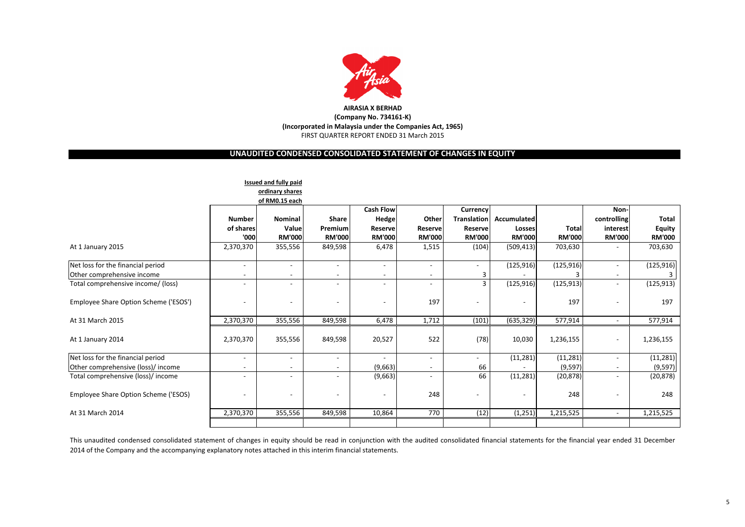|                                       |                | Issued and fully paid    |               |                  |                 |                    |               |               |                |               |
|---------------------------------------|----------------|--------------------------|---------------|------------------|-----------------|--------------------|---------------|---------------|----------------|---------------|
|                                       |                | ordinary shares          |               |                  |                 |                    |               |               |                |               |
|                                       |                | of RM0.15 each           |               |                  |                 |                    |               |               |                |               |
|                                       |                |                          |               | <b>Cash Flow</b> |                 | <b>Currency</b>    |               |               | Non-           |               |
|                                       | <b>Number</b>  | <b>Nominal</b>           | <b>Share</b>  | <b>Hedge</b>     | <b>Other</b>    | <b>Translation</b> | Accumulated   |               | controlling    | <b>Total</b>  |
|                                       | of shares      | Value                    | Premium       | <b>Reserve</b>   | <b>Reservel</b> | <b>Reserve</b>     | <b>Losses</b> | <b>Total</b>  | interest       | <b>Equity</b> |
|                                       | '000           | <b>RM'000</b>            | <b>RM'000</b> | <b>RM'000</b>    | <b>RM'000</b>   | <b>RM'000</b>      | <b>RM'000</b> | <b>RM'000</b> | <b>RM'000</b>  | <b>RM'000</b> |
| At 1 January 2015                     | 2,370,370      | 355,556                  | 849,598       | 6,478            | 1,515           | (104)              | (509, 413)    | 703,630       | $\blacksquare$ | 703,630       |
| Net loss for the financial period     | $\blacksquare$ | $\sim$                   | $\sim$        |                  | $\blacksquare$  | ÷                  | (125, 916)    | (125, 916)    | $\sim$         | (125, 916)    |
| Other comprehensive income            |                |                          |               |                  |                 | 3                  |               |               |                |               |
| Total comprehensive income/ (loss)    | $\blacksquare$ | $\overline{\phantom{0}}$ | $\sim$        |                  | $\blacksquare$  | $\overline{3}$     | (125, 916)    | (125, 913)    | ÷.             | (125, 913)    |
| Employee Share Option Scheme ('ESOS') |                | $\sim$                   |               | $\sim$           | 197             | $\blacksquare$     |               | 197           | $\blacksquare$ | 197           |
| At 31 March 2015                      | 2,370,370      | 355,556                  | 849,598       | 6,478            | 1,712           | (101)              | (635, 329)    | 577,914       | $\sim$         | 577,914       |
| At 1 January 2014                     | 2,370,370      | 355,556                  | 849,598       | 20,527           | 522             | (78)               | 10,030        | 1,236,155     | $\sim$         | 1,236,155     |
| Net loss for the financial period     | $\blacksquare$ | $\sim$                   | $\sim$        | $\sim$           | $\blacksquare$  | ÷.                 | (11, 281)     | (11, 281)     | ÷.             | (11, 281)     |
| Other comprehensive (loss)/ income    |                | $\sim$                   |               | (9,663)          | $\blacksquare$  | 66                 |               | (9, 597)      |                | (9, 597)      |
| Total comprehensive (loss)/ income    | $\blacksquare$ |                          |               | (9,663)          | $\blacksquare$  | 66                 | (11, 281)     | (20, 878)     | $\blacksquare$ | (20, 878)     |
| Employee Share Option Scheme ('ESOS)  | $\frac{1}{2}$  | Ξ.                       |               | $\sim$           | 248             | ۰                  | $\sim$        | 248           | $\frac{1}{2}$  | 248           |
| At 31 March 2014                      | 2,370,370      | 355,556                  | 849,598       | 10,864           | 770             | (12)               | (1, 251)      | 1,215,525     | $\sim$         | 1,215,525     |
|                                       |                |                          |               |                  |                 |                    |               |               |                |               |

# **UNAUDITED CONDENSED CONSOLIDATED STATEMENT OF CHANGES IN EQUITY**



# **(Company No. 734161-K) (Incorporated in Malaysia under the Companies Act, 1965)** FIRST QUARTER REPORT ENDED 31 March 2015

This unaudited condensed consolidated statement of changes in equity should be read in conjunction with the audited consolidated financial statements for the financial year ended 31 December 2014 of the Company and the accompanying explanatory notes attached in this interim financial statements.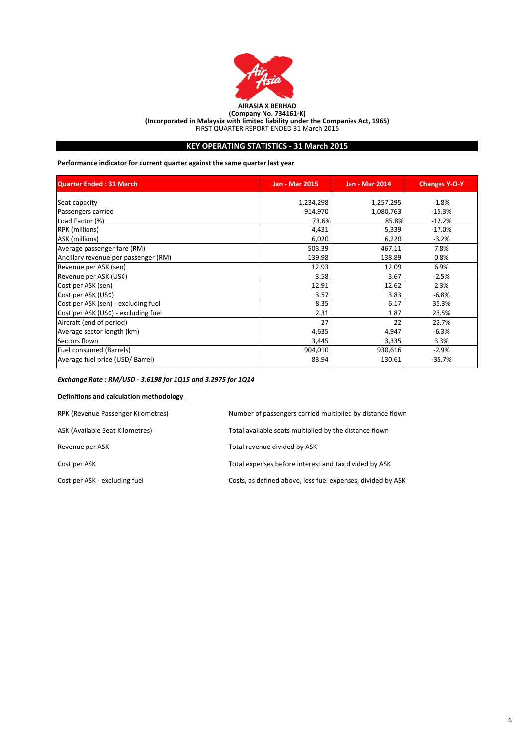| <b>Quarter Ended: 31 March</b>       | <b>Jan - Mar 2015</b> | <b>Jan - Mar 2014</b> | <b>Changes Y-O-Y</b> |
|--------------------------------------|-----------------------|-----------------------|----------------------|
| Seat capacity                        | 1,234,298             | 1,257,295             | $-1.8%$              |
| Passengers carried                   | 914,970               | 1,080,763             | $-15.3%$             |
| Load Factor (%)                      | 73.6%                 | 85.8%                 | $-12.2%$             |
| <b>RPK</b> (millions)                | 4,431                 | 5,339                 | $-17.0%$             |
| ASK (millions)                       | 6,020                 | 6,220                 | $-3.2%$              |
| Average passenger fare (RM)          | 503.39                | 467.11                | 7.8%                 |
| Ancillary revenue per passenger (RM) | 139.98                | 138.89                | 0.8%                 |
| Revenue per ASK (sen)                | 12.93                 | 12.09                 | 6.9%                 |
| Revenue per ASK (US¢)                | 3.58                  | 3.67                  | $-2.5%$              |
| Cost per ASK (sen)                   | 12.91                 | 12.62                 | 2.3%                 |
| Cost per ASK (US¢)                   | 3.57                  | 3.83                  | $-6.8%$              |
| Cost per ASK (sen) - excluding fuel  | 8.35                  | 6.17                  | 35.3%                |
| Cost per ASK (US¢) - excluding fuel  | 2.31                  | 1.87                  | 23.5%                |
| Aircraft (end of period)             | 27                    | 22                    | 22.7%                |
| Average sector length (km)           | 4,635                 | 4,947                 | $-6.3%$              |
| Sectors flown                        | 3,445                 | 3,335                 | 3.3%                 |
| <b>Fuel consumed (Barrels)</b>       | 904,010               | 930,616               | $-2.9%$              |
| Average fuel price (USD/ Barrel)     | 83.94                 | 130.61                | $-35.7%$             |

### *Exchange Rate : RM/USD - 3.6198 for 1Q15 and 3.2975 for 1Q14*

### **Definitions and calculation methodology**



# **KEY OPERATING STATISTICS - 31 March 2015**

| RPK (Revenue Passenger Kilometres) | Number of passengers carried multiplied by distance flown   |
|------------------------------------|-------------------------------------------------------------|
| ASK (Available Seat Kilometres)    | Total available seats multiplied by the distance flown      |
| Revenue per ASK                    | Total revenue divided by ASK                                |
| Cost per ASK                       | Total expenses before interest and tax divided by ASK       |
| Cost per ASK - excluding fuel      | Costs, as defined above, less fuel expenses, divided by ASK |

**Performance indicator for current quarter against the same quarter last year**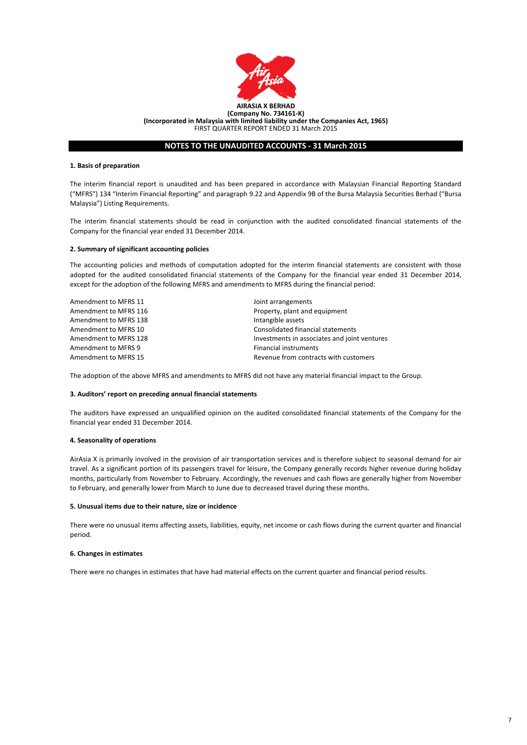#### **1. Basis of preparation**

#### **2. Summary of significant accounting policies**

| Amendment to MFRS 11  | Joint arrangements                           |
|-----------------------|----------------------------------------------|
| Amendment to MFRS 116 | Property, plant and equipment                |
| Amendment to MFRS 138 | Intangible assets                            |
| Amendment to MFRS 10  | Consolidated financial statements            |
| Amendment to MFRS 128 | Investments in associates and joint ventures |
| Amendment to MFRS 9   | Financial instruments                        |
| Amendment to MFRS 15  | Revenue from contracts with customers        |

#### **3. Auditors' report on preceding annual financial statements**

### **4. Seasonality of operations**

#### **5. Unusual items due to their nature, size or incidence**

#### **6. Changes in estimates**



## **NOTES TO THE UNAUDITED ACCOUNTS - 31 March 2015**

There were no unusual items affecting assets, liabilities, equity, net income or cash flows during the current quarter and financial period.

There were no changes in estimates that have had material effects on the current quarter and financial period results.

The adoption of the above MFRS and amendments to MFRS did not have any material financial impact to the Group.

The interim financial report is unaudited and has been prepared in accordance with Malaysian Financial Reporting Standard ("MFRS") 134 "Interim Financial Reporting" and paragraph 9.22 and Appendix 9B of the Bursa Malaysia Securities Berhad ("Bursa Malaysia") Listing Requirements.

The interim financial statements should be read in conjunction with the audited consolidated financial statements of the Company for the financial year ended 31 December 2014.

The accounting policies and methods of computation adopted for the interim financial statements are consistent with those adopted for the audited consolidated financial statements of the Company for the financial year ended 31 December 2014, except for the adoption of the following MFRS and amendments to MFRS during the financial period:

The auditors have expressed an unqualified opinion on the audited consolidated financial statements of the Company for the financial year ended 31 December 2014.

AirAsia X is primarily involved in the provision of air transportation services and is therefore subject to seasonal demand for air travel. As a significant portion of its passengers travel for leisure, the Company generally records higher revenue during holiday months, particularly from November to February. Accordingly, the revenues and cash flows are generally higher from November to February, and generally lower from March to June due to decreased travel during these months.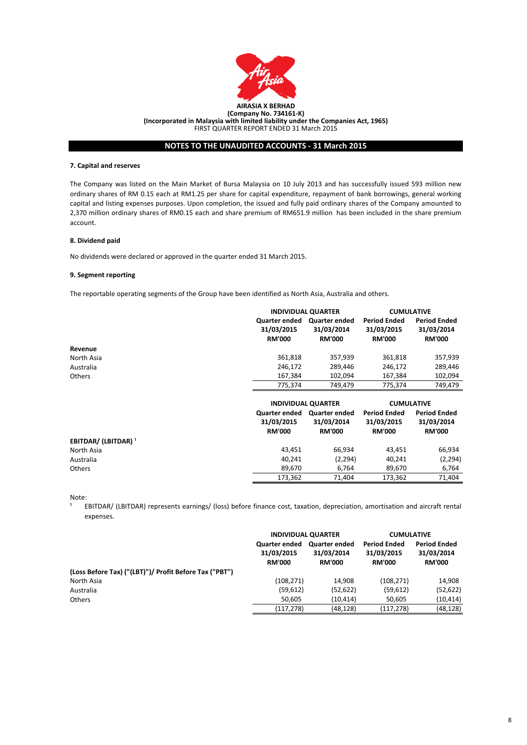

#### **7. Capital and reserves**

#### **8. Dividend paid**

#### **9. Segment reporting**

No dividends were declared or approved in the quarter ended 31 March 2015.

 $\mathbf{1}$ EBITDAR/ (LBITDAR) represents earnings/ (loss) before finance cost, taxation, depreciation, amortisation and aircraft rental expenses.

The Company was listed on the Main Market of Bursa Malaysia on 10 July 2013 and has successfully issued 593 million new ordinary shares of RM 0.15 each at RM1.25 per share for capital expenditure, repayment of bank borrowings, general working capital and listing expenses purposes. Upon completion, the issued and fully paid ordinary shares of the Company amounted to 2,370 million ordinary shares of RM0.15 each and share premium of RM651.9 million has been included in the share premium account.

|                                        |                                                     | <b>INDIVIDUAL QUARTER</b>                           |                                                    | <b>CUMULATIVE</b>                                  |
|----------------------------------------|-----------------------------------------------------|-----------------------------------------------------|----------------------------------------------------|----------------------------------------------------|
|                                        | <b>Quarter ended</b><br>31/03/2015<br><b>RM'000</b> | <b>Quarter ended</b><br>31/03/2014<br><b>RM'000</b> | <b>Period Ended</b><br>31/03/2015<br><b>RM'000</b> | <b>Period Ended</b><br>31/03/2014<br><b>RM'000</b> |
| Revenue                                |                                                     |                                                     |                                                    |                                                    |
| North Asia                             | 361,818                                             | 357,939                                             | 361,818                                            | 357,939                                            |
| Australia                              | 246,172                                             | 289,446                                             | 246,172                                            | 289,446                                            |
| <b>Others</b>                          | 167,384                                             | 102,094                                             | 167,384                                            | 102,094                                            |
|                                        | 775,374                                             | 749,479                                             | 775,374                                            | 749,479                                            |
|                                        |                                                     | <b>INDIVIDUAL QUARTER</b>                           | <b>CUMULATIVE</b>                                  |                                                    |
|                                        | <b>Quarter ended</b><br>31/03/2015<br><b>RM'000</b> | <b>Quarter ended</b><br>31/03/2014<br><b>RM'000</b> | <b>Period Ended</b><br>31/03/2015<br><b>RM'000</b> | <b>Period Ended</b><br>31/03/2014<br><b>RM'000</b> |
| <b>EBITDAR/ (LBITDAR)</b> <sup>1</sup> |                                                     |                                                     |                                                    |                                                    |
| North Asia                             | 43,451                                              | 66,934                                              | 43,451                                             | 66,934                                             |
| Australia                              | 40,241                                              | (2, 294)                                            | 40,241                                             | (2, 294)                                           |
| Others                                 | 89,670                                              | 6,764                                               | 89,670                                             | 6,764                                              |
|                                        | 173,362                                             | 71,404                                              | 173,362                                            | 71,404                                             |

|                                                        | <b>RM.000</b> |  |
|--------------------------------------------------------|---------------|--|
| (Loss Before Tax) ("(LBT)")/ Profit Before Tax ("PBT") |               |  |
| North Asia                                             | (108, 271)    |  |
| Australia                                              | (59, 612)     |  |
| <b>Others</b>                                          | 50,605        |  |
|                                                        | (117, 278)    |  |

| <b>RM'000</b> | <b>RM'000</b> | <b>RM'000</b> | <b>RM'000</b> |
|---------------|---------------|---------------|---------------|
| (108, 271)    | 14,908        | (108, 271)    | 14,908        |
| (59, 612)     | (52, 622)     | (59, 612)     | (52, 622)     |
| 50,605        | (10,414)      | 50,605        | (10, 414)     |
| (117,278)     | (48,128)      | (117,278)     | (48,128)      |
|               |               |               |               |

| <b>INDIVIDUAL QUARTER</b>   |            | <b>CUMULATIVE</b>   |                     |
|-----------------------------|------------|---------------------|---------------------|
| Quarter ended Quarter ended |            | <b>Period Ended</b> | <b>Period Ended</b> |
| 31/03/2015                  | 31/03/2014 | 31/03/2015          | 31/03/2014          |

Note:

The reportable operating segments of the Group have been identified as North Asia, Australia and others.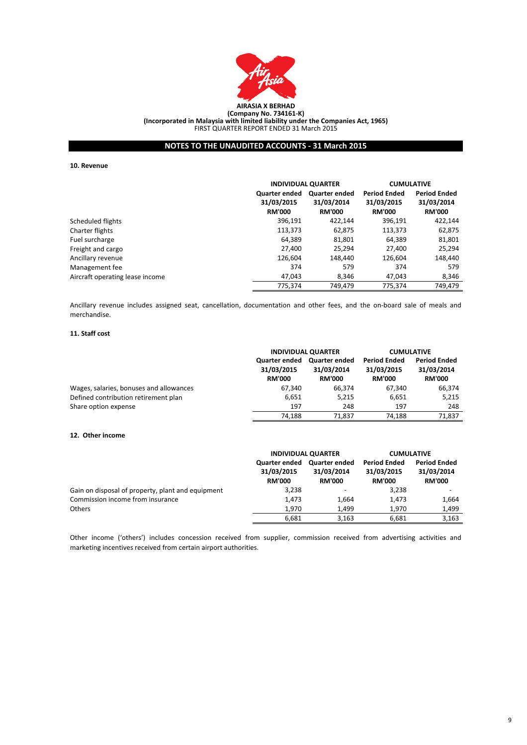

#### **10. Revenue**

#### **11. Staff cost**

#### **12. Other income**

Ancillary revenue includes assigned seat, cancellation, documentation and other fees, and the on-board sale of meals and merchandise.

|                                 |                                                     | <b>INDIVIDUAL QUARTER</b>                           |                                                    | <b>CUMULATIVE</b>                                  |
|---------------------------------|-----------------------------------------------------|-----------------------------------------------------|----------------------------------------------------|----------------------------------------------------|
|                                 | <b>Quarter ended</b><br>31/03/2015<br><b>RM'000</b> | <b>Quarter ended</b><br>31/03/2014<br><b>RM'000</b> | <b>Period Ended</b><br>31/03/2015<br><b>RM'000</b> | <b>Period Ended</b><br>31/03/2014<br><b>RM'000</b> |
| Scheduled flights               | 396,191                                             | 422,144                                             | 396,191                                            | 422,144                                            |
| Charter flights                 | 113,373                                             | 62,875                                              | 113,373                                            | 62,875                                             |
| Fuel surcharge                  | 64,389                                              | 81,801                                              | 64,389                                             | 81,801                                             |
| Freight and cargo               | 27,400                                              | 25,294                                              | 27,400                                             | 25,294                                             |
| Ancillary revenue               | 126,604                                             | 148,440                                             | 126,604                                            | 148,440                                            |
| Management fee                  | 374                                                 | 579                                                 | 374                                                | 579                                                |
| Aircraft operating lease income | 47,043                                              | 8,346                                               | 47,043                                             | 8,346                                              |
|                                 | 775,374                                             | 749,479                                             | 775,374                                            | 749,479                                            |

|                                         | <b>INDIVIDUAL QUARTER</b>                           |                                                     | <b>CUMULATIVE</b>                                  |                                                    |
|-----------------------------------------|-----------------------------------------------------|-----------------------------------------------------|----------------------------------------------------|----------------------------------------------------|
|                                         | <b>Quarter ended</b><br>31/03/2015<br><b>RM'000</b> | <b>Quarter ended</b><br>31/03/2014<br><b>RM'000</b> | <b>Period Ended</b><br>31/03/2015<br><b>RM'000</b> | <b>Period Ended</b><br>31/03/2014<br><b>RM'000</b> |
| Wages, salaries, bonuses and allowances | 67,340                                              | 66,374                                              | 67,340                                             | 66,374                                             |
| Defined contribution retirement plan    | 6,651                                               | 5,215                                               | 6,651                                              | 5,215                                              |
| Share option expense                    | 197                                                 | 248                                                 | 197                                                | 248                                                |
|                                         | 74,188                                              | 71,837                                              | 74,188                                             | 71,837                                             |

|                                                   | <b>INDIVIDUAL QUARTER</b>                           |                                                     | <b>CUMULATIVE</b>                                  |                                                    |
|---------------------------------------------------|-----------------------------------------------------|-----------------------------------------------------|----------------------------------------------------|----------------------------------------------------|
|                                                   | <b>Quarter ended</b><br>31/03/2015<br><b>RM'000</b> | <b>Quarter ended</b><br>31/03/2014<br><b>RM'000</b> | <b>Period Ended</b><br>31/03/2015<br><b>RM'000</b> | <b>Period Ended</b><br>31/03/2014<br><b>RM'000</b> |
| Gain on disposal of property, plant and equipment | 3,238                                               | $\overline{\phantom{a}}$                            | 3,238                                              | $\blacksquare$                                     |
| Commission income from insurance                  | 1,473                                               | 1,664                                               | 1,473                                              | 1,664                                              |
| <b>Others</b>                                     | 1,970                                               | 1,499                                               | 1,970                                              | 1,499                                              |
|                                                   | 6,681                                               | 3,163                                               | 6,681                                              | 3,163                                              |

Other income ('others') includes concession received from supplier, commission received from advertising activities and marketing incentives received from certain airport authorities.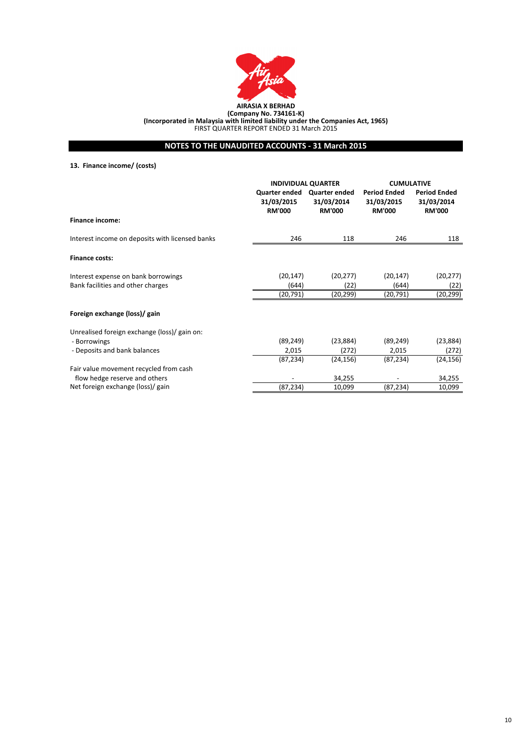

# **13. Finance income/ (costs)**

|                                                 | <b>INDIVIDUAL QUARTER</b><br><b>Quarter ended</b><br>31/03/2015 | <b>Quarter ended</b><br>31/03/2014 | <b>CUMULATIVE</b><br><b>Period Ended</b><br>31/03/2015 | <b>Period Ended</b><br>31/03/2014 |
|-------------------------------------------------|-----------------------------------------------------------------|------------------------------------|--------------------------------------------------------|-----------------------------------|
|                                                 | <b>RM'000</b>                                                   | <b>RM'000</b>                      | <b>RM'000</b>                                          | <b>RM'000</b>                     |
| <b>Finance income:</b>                          |                                                                 |                                    |                                                        |                                   |
| Interest income on deposits with licensed banks | 246                                                             | 118                                | 246                                                    | 118                               |
| <b>Finance costs:</b>                           |                                                                 |                                    |                                                        |                                   |
| Interest expense on bank borrowings             | (20, 147)                                                       | (20, 277)                          | (20, 147)                                              | (20, 277)                         |
| Bank facilities and other charges               | (644)                                                           | (22)                               | (644)                                                  | (22)                              |
|                                                 | (20, 791)                                                       | (20,299)                           | (20,791)                                               | (20, 299)                         |
| Foreign exchange (loss)/ gain                   |                                                                 |                                    |                                                        |                                   |
| Unrealised foreign exchange (loss)/ gain on:    |                                                                 |                                    |                                                        |                                   |
| - Borrowings                                    | (89, 249)                                                       | (23, 884)                          | (89, 249)                                              | (23, 884)                         |
| - Deposits and bank balances                    | 2,015                                                           | (272)                              | 2,015                                                  | (272)                             |
|                                                 | (87, 234)                                                       | (24, 156)                          | (87, 234)                                              | (24, 156)                         |
| Fair value movement recycled from cash          |                                                                 |                                    |                                                        |                                   |
| flow hedge reserve and others                   |                                                                 | 34,255                             |                                                        | 34,255                            |
| Net foreign exchange (loss)/ gain               | (87, 234)                                                       | 10,099                             | (87, 234)                                              | 10,099                            |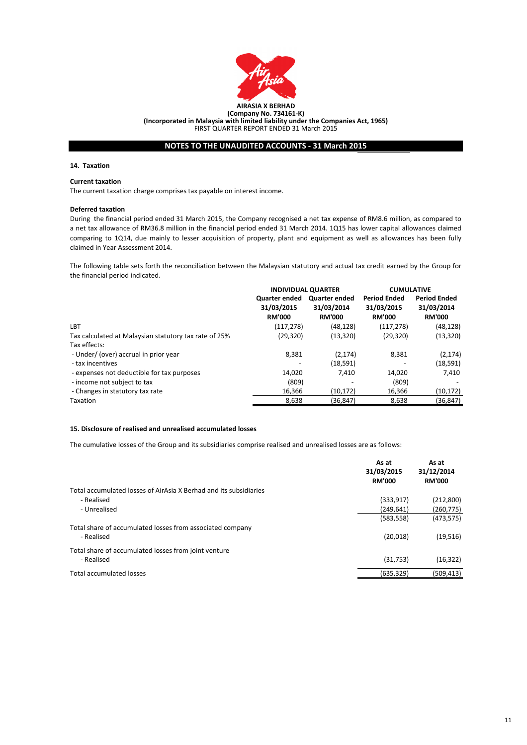

#### **14. Taxation**

#### **Current taxation**

The current taxation charge comprises tax payable on interest income.

#### **Deferred taxation**

### **15. Disclosure of realised and unrealised accumulated losses**

|                                                                         | As at<br>31/03/2015<br><b>RM'000</b> | As at<br>31/12/2014<br><b>RM'000</b> |
|-------------------------------------------------------------------------|--------------------------------------|--------------------------------------|
| Total accumulated losses of AirAsia X Berhad and its subsidiaries       |                                      |                                      |
| - Realised                                                              | (333, 917)                           | (212,800)                            |
| - Unrealised                                                            | (249, 641)                           | (260,775)                            |
|                                                                         | (583, 558)                           | (473, 575)                           |
| Total share of accumulated losses from associated company<br>- Realised | (20,018)                             | (19, 516)                            |
| Total share of accumulated losses from joint venture                    |                                      |                                      |

|                                                       | <b>INDIVIDUAL QUARTER</b>                           |                                                     | <b>CUMULATIVE</b>                                  |                                                    |
|-------------------------------------------------------|-----------------------------------------------------|-----------------------------------------------------|----------------------------------------------------|----------------------------------------------------|
|                                                       | <b>Quarter ended</b><br>31/03/2015<br><b>RM'000</b> | <b>Quarter ended</b><br>31/03/2014<br><b>RM'000</b> | <b>Period Ended</b><br>31/03/2015<br><b>RM'000</b> | <b>Period Ended</b><br>31/03/2014<br><b>RM'000</b> |
| <b>LBT</b>                                            | (117, 278)                                          | (48, 128)                                           | (117, 278)                                         | (48, 128)                                          |
| Tax calculated at Malaysian statutory tax rate of 25% | (29, 320)                                           | (13, 320)                                           | (29, 320)                                          | (13, 320)                                          |
| Tax effects:                                          |                                                     |                                                     |                                                    |                                                    |
| - Under/ (over) accrual in prior year                 | 8,381                                               | (2, 174)                                            | 8,381                                              | (2, 174)                                           |
| - tax incentives                                      |                                                     | (18, 591)                                           |                                                    | (18, 591)                                          |
| - expenses not deductible for tax purposes            | 14,020                                              | 7,410                                               | 14,020                                             | 7,410                                              |
| - income not subject to tax                           | (809)                                               |                                                     | (809)                                              |                                                    |
| - Changes in statutory tax rate                       | 16,366                                              | (10, 172)                                           | 16,366                                             | (10, 172)                                          |
| Taxation                                              | 8,638                                               | (36, 847)                                           | 8,638                                              | (36, 847)                                          |

| - Realised               | 750<br>(31,753) | (16, 322)  |
|--------------------------|-----------------|------------|
| Total accumulated losses | (635, 329)      | (509, 413) |

The cumulative losses of the Group and its subsidiaries comprise realised and unrealised losses are as follows:

The following table sets forth the reconciliation between the Malaysian statutory and actual tax credit earned by the Group for the financial period indicated.

During the financial period ended 31 March 2015, the Company recognised a net tax expense of RM8.6 million, as compared to a net tax allowance of RM36.8 million in the financial period ended 31 March 2014. 1Q15 has lower capital allowances claimed comparing to 1Q14, due mainly to lesser acquisition of property, plant and equipment as well as allowances has been fully claimed in Year Assessment 2014.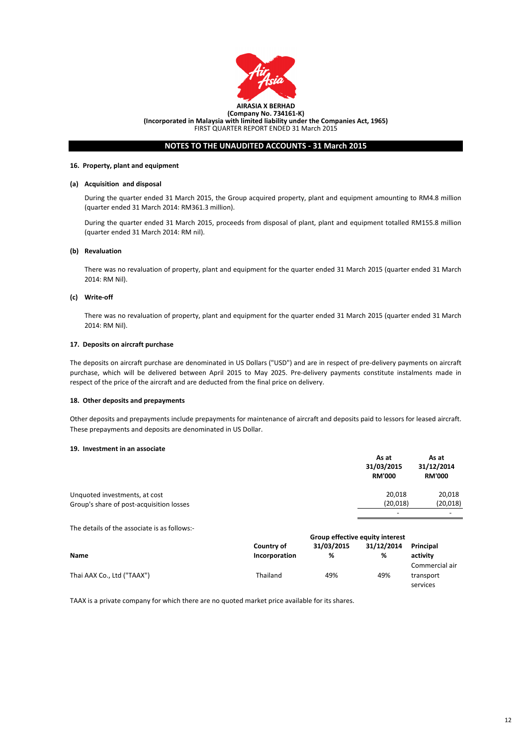

#### **16. Property, plant and equipment**

#### **(a) Acquisition and disposal**

#### **(b) Revaluation**

#### **(c) Write-off**

#### **17. Deposits on aircraft purchase**

#### **18. Other deposits and prepayments**

#### **19. Investment in an associate**

The details of the associate is as follows:-

During the quarter ended 31 March 2015, proceeds from disposal of plant, plant and equipment totalled RM155.8 million (quarter ended 31 March 2014: RM nil).

Other deposits and prepayments include prepayments for maintenance of aircraft and deposits paid to lessors for leased aircraft. These prepayments and deposits are denominated in US Dollar.

The deposits on aircraft purchase are denominated in US Dollars ("USD") and are in respect of pre-delivery payments on aircraft purchase, which will be delivered between April 2015 to May 2025. Pre-delivery payments constitute instalments made in respect of the price of the aircraft and are deducted from the final price on delivery.

|                            | <b>Group effective equity interest</b> |            |            |                                         |  |
|----------------------------|----------------------------------------|------------|------------|-----------------------------------------|--|
|                            | Country of                             | 31/03/2015 | 31/12/2014 | Principal                               |  |
| <b>Name</b>                | Incorporation                          | %          | %          | activity                                |  |
| Thai AAX Co., Ltd ("TAAX") | Thailand                               | 49%        | 49%        | Commercial air<br>transport<br>services |  |

|                                          | As at<br>31/03/2015<br><b>RM'000</b> | As at<br>31/12/2014<br><b>RM'000</b> |
|------------------------------------------|--------------------------------------|--------------------------------------|
| Unquoted investments, at cost            | 20,018                               | 20,018                               |
| Group's share of post-acquisition losses | (20,018)                             | (20, 018)                            |
|                                          | $\qquad \qquad$                      | $\sim$                               |

There was no revaluation of property, plant and equipment for the quarter ended 31 March 2015 (quarter ended 31 March 2014: RM Nil).

There was no revaluation of property, plant and equipment for the quarter ended 31 March 2015 (quarter ended 31 March 2014: RM Nil).

TAAX is a private company for which there are no quoted market price available for its shares.

During the quarter ended 31 March 2015, the Group acquired property, plant and equipment amounting to RM4.8 million (quarter ended 31 March 2014: RM361.3 million).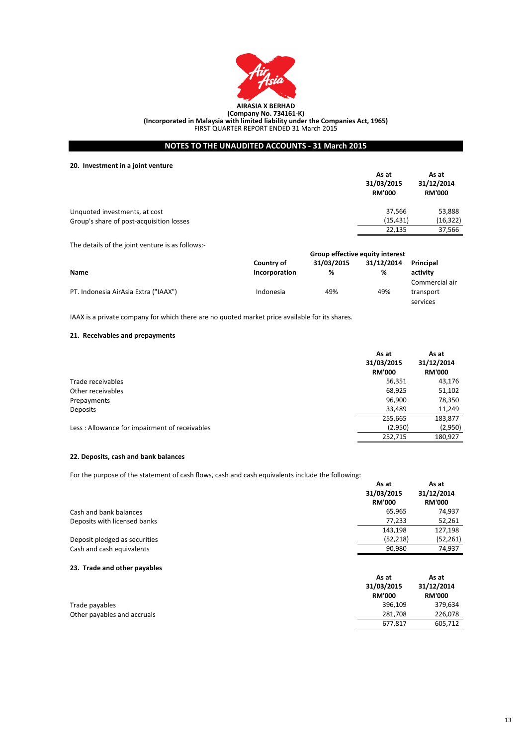

**20. Investment in a joint venture**

### **21. Receivables and prepayments**

#### **22. Deposits, cash and bank balances**

#### **23. Trade and other payables**

| Trade payables              |
|-----------------------------|
| Other payables and accruals |

|                               | As at<br>31/03/2015<br><b>RM'000</b> | As at<br>31/12/2014<br><b>RM'000</b> |
|-------------------------------|--------------------------------------|--------------------------------------|
| Cash and bank balances        | 65,965                               | 74,937                               |
| Deposits with licensed banks  | 77,233                               | 52,261                               |
|                               | 143,198                              | 127,198                              |
| Deposit pledged as securities | (52, 218)                            | (52, 261)                            |
| Cash and cash equivalents     | 90,980                               | 74,937                               |

| As at         | As at         |
|---------------|---------------|
| 31/03/2015    | 31/12/2014    |
| <b>RM'000</b> | <b>RM'000</b> |
| 396,109       | 379,634       |
| 281,708       | 226,078       |
| 677,817       | 605,712       |

|                                          | As at<br>31/03/2015<br><b>RM'000</b> | As at<br>31/12/2014<br><b>RM'000</b> |
|------------------------------------------|--------------------------------------|--------------------------------------|
| Unquoted investments, at cost            | 37,566                               | 53,888                               |
| Group's share of post-acquisition losses | (15, 431)                            | (16, 322)                            |
|                                          | 22,135                               | 37,566                               |

|                                               | As at<br>31/03/2015<br><b>RM'000</b> | As at<br>31/12/2014<br><b>RM'000</b> |
|-----------------------------------------------|--------------------------------------|--------------------------------------|
| Trade receivables                             | 56,351                               | 43,176                               |
| Other receivables                             | 68,925                               | 51,102                               |
| Prepayments                                   | 96,900                               | 78,350                               |
| Deposits                                      | 33,489                               | 11,249                               |
| Less: Allowance for impairment of receivables | 255,665                              | 183,877                              |
|                                               | (2,950)                              | (2,950)                              |
|                                               | 252,715                              | 180,927                              |

For the purpose of the statement of cash flows, cash and cash equivalents include the following:

The details of the joint venture is as follows:-

|                                      | <b>Group effective equity interest</b> |            |            |                |
|--------------------------------------|----------------------------------------|------------|------------|----------------|
|                                      | Country of                             | 31/03/2015 | 31/12/2014 | Principal      |
| <b>Name</b>                          | Incorporation                          | %          | %          | activity       |
|                                      |                                        |            |            | Commercial air |
| PT. Indonesia AirAsia Extra ("IAAX") | Indonesia                              | 49%        | 49%        | transport      |
|                                      |                                        |            |            | services       |

IAAX is a private company for which there are no quoted market price available for its shares.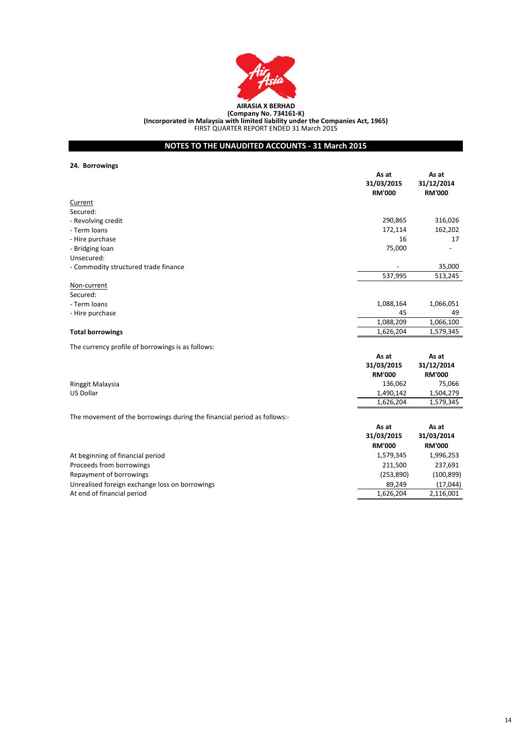

**24. Borrowings**

|                                                                         | As at<br>31/03/2015<br><b>RM'000</b> | As at<br>31/12/2014<br><b>RM'000</b> |
|-------------------------------------------------------------------------|--------------------------------------|--------------------------------------|
| <b>Current</b>                                                          |                                      |                                      |
| Secured:                                                                |                                      |                                      |
| - Revolving credit                                                      | 290,865                              | 316,026                              |
| - Term loans                                                            | 172,114                              | 162,202                              |
| - Hire purchase                                                         | 16                                   | 17                                   |
| - Bridging loan                                                         | 75,000                               |                                      |
| Unsecured:                                                              |                                      |                                      |
| - Commodity structured trade finance                                    |                                      | 35,000                               |
|                                                                         | 537,995                              | 513,245                              |
| Non-current                                                             |                                      |                                      |
| Secured:                                                                |                                      |                                      |
| - Term loans                                                            | 1,088,164                            | 1,066,051                            |
| - Hire purchase                                                         | 45<br>1,088,209                      | 49<br>1,066,100                      |
|                                                                         | 1,626,204                            | 1,579,345                            |
| <b>Total borrowings</b>                                                 |                                      |                                      |
| The currency profile of borrowings is as follows:                       |                                      |                                      |
|                                                                         | As at                                | As at                                |
|                                                                         | 31/03/2015                           | 31/12/2014                           |
|                                                                         | <b>RM'000</b>                        | <b>RM'000</b>                        |
| Ringgit Malaysia                                                        | 136,062                              | 75,066                               |
| <b>US Dollar</b>                                                        | 1,490,142                            | 1,504,279                            |
|                                                                         | 1,626,204                            | 1,579,345                            |
| The movement of the borrowings during the financial period as follows:- |                                      |                                      |
|                                                                         | As at                                | As at                                |
|                                                                         | 31/03/2015                           | 31/03/2014                           |
|                                                                         | <b>RM'000</b>                        | <b>RM'000</b>                        |
| At beginning of financial period                                        | 1,579,345                            | 1,996,253                            |
| Proceeds from borrowings                                                | 211,500                              | 237,691                              |
| Repayment of borrowings                                                 | (253,890)                            | (100, 899)                           |
| Unrealised foreign exchange loss on borrowings                          | 89,249                               | (17, 044)                            |
| At end of financial period                                              | 1,626,204                            | 2,116,001                            |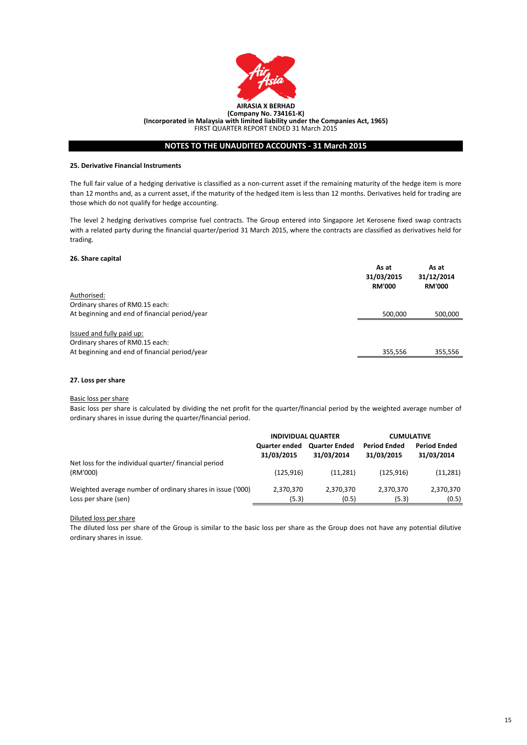

#### **25. Derivative Financial Instruments**

#### **26. Share capital**

#### **27. Loss per share**

#### Basic loss per share

### Diluted loss per share

The diluted loss per share of the Group is similar to the basic loss per share as the Group does not have any potential dilutive ordinary shares in issue.

|                                                                                                               | As at<br>31/03/2015<br><b>RM'000</b> | As at<br>31/12/2014<br><b>RM'000</b> |
|---------------------------------------------------------------------------------------------------------------|--------------------------------------|--------------------------------------|
| Authorised:                                                                                                   |                                      |                                      |
| Ordinary shares of RM0.15 each:                                                                               |                                      |                                      |
| At beginning and end of financial period/year                                                                 | 500,000                              | 500,000                              |
| Issued and fully paid up:<br>Ordinary shares of RM0.15 each:<br>At beginning and end of financial period/year | 355,556                              | 355,556                              |
|                                                                                                               |                                      |                                      |

Basic loss per share is calculated by dividing the net profit for the quarter/financial period by the weighted average number of ordinary shares in issue during the quarter/financial period.

|                                                            | <b>INDIVIDUAL QUARTER</b>          |                                    | <b>CUMULATIVE</b>                 |                                   |
|------------------------------------------------------------|------------------------------------|------------------------------------|-----------------------------------|-----------------------------------|
|                                                            | <b>Quarter ended</b><br>31/03/2015 | <b>Quarter Ended</b><br>31/03/2014 | <b>Period Ended</b><br>31/03/2015 | <b>Period Ended</b><br>31/03/2014 |
| Net loss for the individual quarter/ financial period      |                                    |                                    |                                   |                                   |
| (RM'000)                                                   | (125, 916)                         | (11, 281)                          | (125, 916)                        | (11, 281)                         |
| Weighted average number of ordinary shares in issue ('000) | 2,370,370                          | 2,370,370                          | 2,370,370                         | 2,370,370                         |
| Loss per share (sen)                                       | (5.3)                              | (0.5)                              | (5.3)                             | (0.5)                             |

The full fair value of a hedging derivative is classified as a non-current asset if the remaining maturity of the hedge item is more than 12 months and, as a current asset, if the maturity of the hedged item is less than 12 months. Derivatives held for trading are those which do not qualify for hedge accounting.

The level 2 hedging derivatives comprise fuel contracts. The Group entered into Singapore Jet Kerosene fixed swap contracts with a related party during the financial quarter/period 31 March 2015, where the contracts are classified as derivatives held for trading.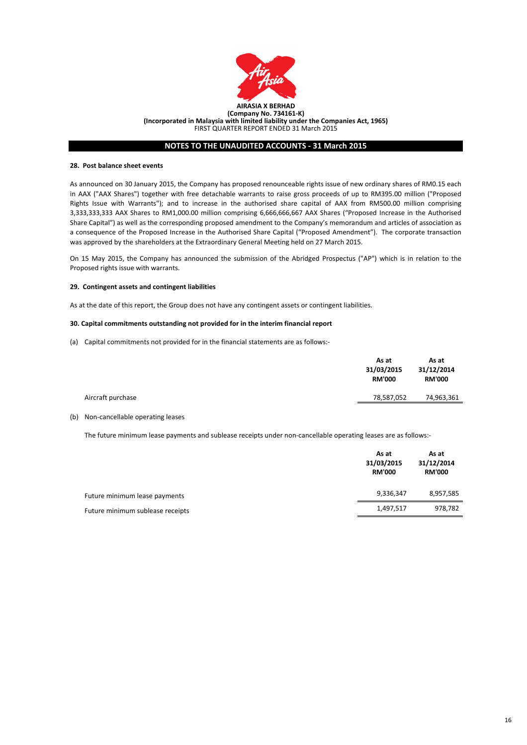

#### **28. Post balance sheet events**

### **29. Contingent assets and contingent liabilities**

As at the date of this report, the Group does not have any contingent assets or contingent liabilities.

#### **30. Capital commitments outstanding not provided for in the interim financial report**

(a) Capital commitments not provided for in the financial statements are as follows:-

#### (b) Non-cancellable operating leases

The future minimum lease payments and sublease receipts under non-cancellable operating leases are as follows:-

|                                  | As at<br>31/03/2015<br><b>RM'000</b> | As at<br>31/12/2014<br><b>RM'000</b> |
|----------------------------------|--------------------------------------|--------------------------------------|
| Future minimum lease payments    | 9,336,347                            | 8,957,585                            |
| Future minimum sublease receipts | 1,497,517                            | 978,782                              |

|                   | As at<br>31/03/2015<br><b>RM'000</b> | As at<br>31/12/2014<br><b>RM'000</b> |
|-------------------|--------------------------------------|--------------------------------------|
| Aircraft purchase | 78,587,052                           | 74,963,361                           |
|                   |                                      |                                      |

As announced on 30 January 2015, the Company has proposed renounceable rights issue of new ordinary shares of RM0.15 each in AAX ("AAX Shares") together with free detachable warrants to raise gross proceeds of up to RM395.00 million ("Proposed Rights Issue with Warrants"); and to increase in the authorised share capital of AAX from RM500.00 million comprising 3,333,333,333 AAX Shares to RM1,000.00 million comprising 6,666,666,667 AAX Shares ("Proposed Increase in the Authorised Share Capital") as well as the corresponding proposed amendment to the Company's memorandum and articles of association as a consequence of the Proposed Increase in the Authorised Share Capital ("Proposed Amendment"). The corporate transaction was approved by the shareholders at the Extraordinary General Meeting held on 27 March 2015.

On 15 May 2015, the Company has announced the submission of the Abridged Prospectus ("AP") which is in relation to the Proposed rights issue with warrants.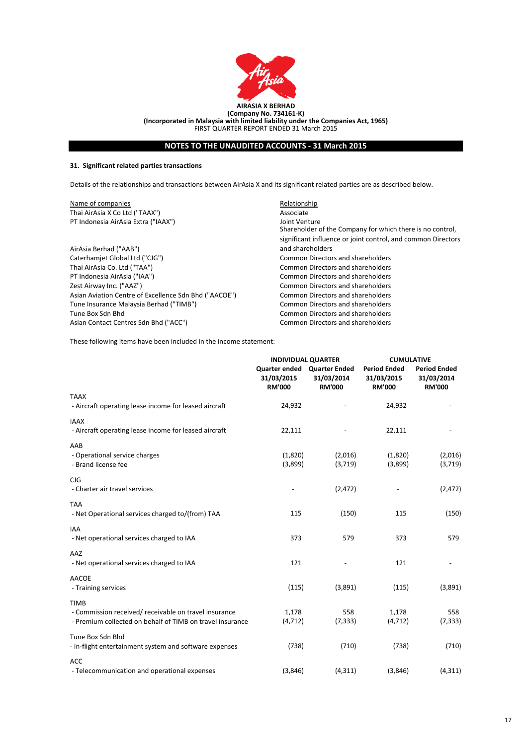

### **31. Significant related parties transactions**

These following items have been included in the income statement:

| Name of companies                                     | Relationship                                                               |
|-------------------------------------------------------|----------------------------------------------------------------------------|
| Thai AirAsia X Co Ltd ("TAAX")                        | Associate                                                                  |
| PT Indonesia AirAsia Extra ("IAAX")                   | Joint Venture<br>Shareholder of the Company for which there is no control, |
|                                                       | significant influence or joint control, and common Directors               |
| AirAsia Berhad ("AAB")                                | and shareholders                                                           |
| Caterhamjet Global Ltd ("CJG")                        | <b>Common Directors and shareholders</b>                                   |
| Thai AirAsia Co. Ltd ("TAA")                          | <b>Common Directors and shareholders</b>                                   |
| PT Indonesia AirAsia ("IAA")                          | <b>Common Directors and shareholders</b>                                   |
| Zest Airway Inc. ("AAZ")                              | <b>Common Directors and shareholders</b>                                   |
| Asian Aviation Centre of Excellence Sdn Bhd ("AACOE") | <b>Common Directors and shareholders</b>                                   |
| Tune Insurance Malaysia Berhad ("TIMB")               | <b>Common Directors and shareholders</b>                                   |
| Tune Box Sdn Bhd                                      | <b>Common Directors and shareholders</b>                                   |
| Asian Contact Centres Sdn Bhd ("ACC")                 | <b>Common Directors and shareholders</b>                                   |

|                                                                      | <b>INDIVIDUAL QUARTER</b>                           |                                                     | <b>CUMULATIVE</b>                                  |                                                    |  |
|----------------------------------------------------------------------|-----------------------------------------------------|-----------------------------------------------------|----------------------------------------------------|----------------------------------------------------|--|
|                                                                      | <b>Quarter ended</b><br>31/03/2015<br><b>RM'000</b> | <b>Quarter Ended</b><br>31/03/2014<br><b>RM'000</b> | <b>Period Ended</b><br>31/03/2015<br><b>RM'000</b> | <b>Period Ended</b><br>31/03/2014<br><b>RM'000</b> |  |
| <b>TAAX</b>                                                          |                                                     |                                                     |                                                    |                                                    |  |
| - Aircraft operating lease income for leased aircraft                | 24,932                                              |                                                     | 24,932                                             |                                                    |  |
| <b>IAAX</b><br>- Aircraft operating lease income for leased aircraft | 22,111                                              |                                                     | 22,111                                             |                                                    |  |
| AAB                                                                  |                                                     |                                                     |                                                    |                                                    |  |
| - Operational service charges                                        | (1,820)                                             | (2,016)                                             | (1,820)                                            | (2,016)                                            |  |
| - Brand license fee                                                  | (3,899)                                             | (3,719)                                             | (3,899)                                            | (3,719)                                            |  |
| CJG                                                                  |                                                     |                                                     |                                                    |                                                    |  |
| - Charter air travel services                                        |                                                     | (2, 472)                                            |                                                    | (2, 472)                                           |  |
| <b>TAA</b>                                                           |                                                     |                                                     |                                                    |                                                    |  |
| - Net Operational services charged to/(from) TAA                     | 115                                                 | (150)                                               | 115                                                | (150)                                              |  |
| IAA                                                                  |                                                     |                                                     |                                                    |                                                    |  |
| - Net operational services charged to IAA                            | 373                                                 | 579                                                 | 373                                                | 579                                                |  |

| - Net operational services charged to IAA                                                                                         | 121               |                 | 121               |                 |
|-----------------------------------------------------------------------------------------------------------------------------------|-------------------|-----------------|-------------------|-----------------|
| <b>AACOE</b><br>- Training services                                                                                               | (115)             | (3,891)         | (115)             | (3,891)         |
| <b>TIMB</b><br>- Commission received/ receivable on travel insurance<br>- Premium collected on behalf of TIMB on travel insurance | 1,178<br>(4, 712) | 558<br>(7, 333) | 1,178<br>(4, 712) | 558<br>(7, 333) |
| Tune Box Sdn Bhd<br>- In-flight entertainment system and software expenses                                                        | (738)             | (710)           | (738)             | (710)           |
| <b>ACC</b><br>- Telecommunication and operational expenses                                                                        | (3,846)           | (4, 311)        | (3,846)           | (4, 311)        |

Details of the relationships and transactions between AirAsia X and its significant related parties are as described below.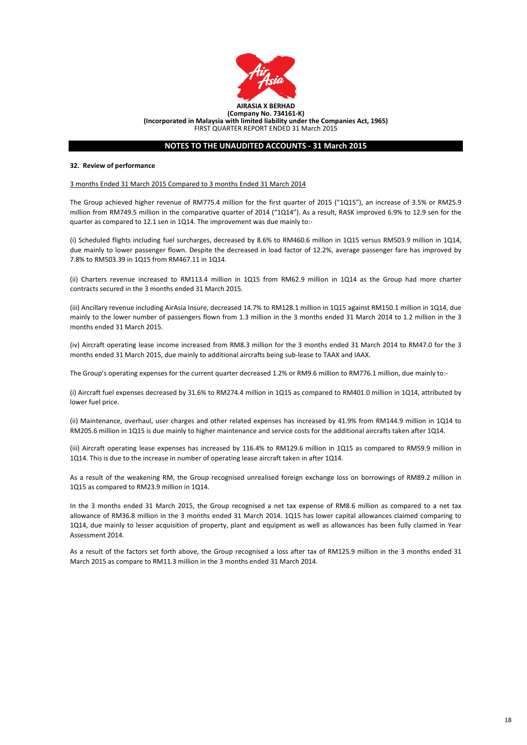

#### **32. Review of performance**

#### 3 months Ended 31 March 2015 Compared to 3 months Ended 31 March 2014

(ii) Charters revenue increased to RM113.4 million in 1Q15 from RM62.9 million in 1Q14 as the Group had more charter contracts secured in the 3 months ended 31 March 2015.

As a result of the weakening RM, the Group recognised unrealised foreign exchange loss on borrowings of RM89.2 million in 1Q15 as compared to RM23.9 million in 1Q14.

In the 3 months ended 31 March 2015, the Group recognised a net tax expense of RM8.6 million as compared to a net tax allowance of RM36.8 million in the 3 months ended 31 March 2014. 1Q15 has lower capital allowances claimed comparing to 1Q14, due mainly to lesser acquisition of property, plant and equipment as well as allowances has been fully claimed in Year Assessment 2014.

As a result of the factors set forth above, the Group recognised a loss after tax of RM125.9 million in the 3 months ended 31

March 2015 as compare to RM11.3 million in the 3 months ended 31 March 2014.

(i) Scheduled flights including fuel surcharges, decreased by 8.6% to RM460.6 million in 1Q15 versus RM503.9 million in 1Q14, due mainly to lower passenger flown. Despite the decreased in load factor of 12.2%, average passenger fare has improved by 7.8% to RM503.39 in 1Q15 from RM467.11 in 1Q14.

The Group's operating expenses for the current quarter decreased 1.2% or RM9.6 million to RM776.1 million, due mainly to:-

The Group achieved higher revenue of RM775.4 million for the first quarter of 2015 ("1Q15"), an increase of 3.5% or RM25.9 million from RM749.5 million in the comparative quarter of 2014 ("1Q14"). As a result, RASK improved 6.9% to 12.9 sen for the quarter as compared to 12.1 sen in 1Q14. The improvement was due mainly to:-

(iii) Ancillary revenue including AirAsia Insure, decreased 14.7% to RM128.1 million in 1Q15 against RM150.1 million in 1Q14, due mainly to the lower number of passengers flown from 1.3 million in the 3 months ended 31 March 2014 to 1.2 million in the 3 months ended 31 March 2015.

(iii) Aircraft operating lease expenses has increased by 116.4% to RM129.6 million in 1Q15 as compared to RM59.9 million in 1Q14. This is due to the increase in number of operating lease aircraft taken in after 1Q14.

(i) Aircraft fuel expenses decreased by 31.6% to RM274.4 million in 1Q15 as compared to RM401.0 million in 1Q14, attributed by lower fuel price.

(ii) Maintenance, overhaul, user charges and other related expenses has increased by 41.9% from RM144.9 million in 1Q14 to RM205.6 million in 1Q15 is due mainly to higher maintenance and service costs for the additional aircrafts taken after 1Q14.

(iv) Aircraft operating lease income increased from RM8.3 million for the 3 months ended 31 March 2014 to RM47.0 for the 3 months ended 31 March 2015, due mainly to additional aircrafts being sub-lease to TAAX and IAAX.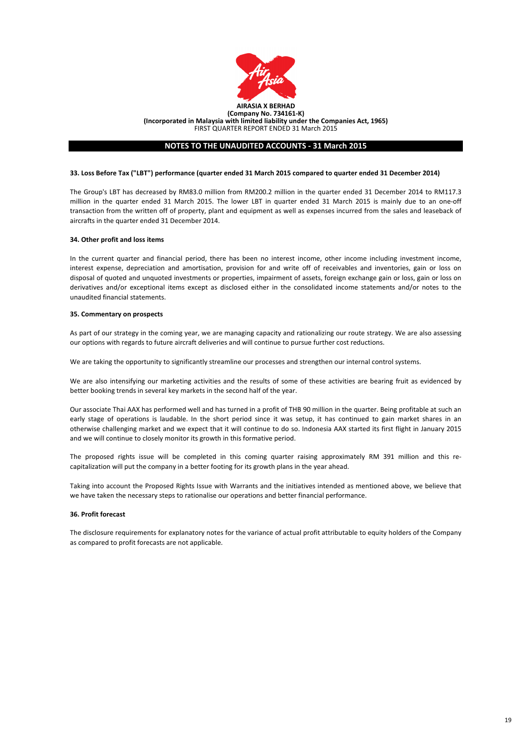

#### **34. Other profit and loss items**

#### **35. Commentary on prospects**

#### **36. Profit forecast**

We are also intensifying our marketing activities and the results of some of these activities are bearing fruit as evidenced by better booking trends in several key markets in the second half of the year.

Our associate Thai AAX has performed well and has turned in a profit of THB 90 million in the quarter. Being profitable at such an early stage of operations is laudable. In the short period since it was setup, it has continued to gain market shares in an otherwise challenging market and we expect that it will continue to do so. Indonesia AAX started its first flight in January 2015 and we will continue to closely monitor its growth in this formative period.

The proposed rights issue will be completed in this coming quarter raising approximately RM 391 million and this recapitalization will put the company in a better footing for its growth plans in the year ahead.

The Group's LBT has decreased by RM83.0 million from RM200.2 million in the quarter ended 31 December 2014 to RM117.3 million in the quarter ended 31 March 2015. The lower LBT in quarter ended 31 March 2015 is mainly due to an one-off transaction from the written off of property, plant and equipment as well as expenses incurred from the sales and leaseback of aircrafts in the quarter ended 31 December 2014.

As part of our strategy in the coming year, we are managing capacity and rationalizing our route strategy. We are also assessing our options with regards to future aircraft deliveries and will continue to pursue further cost reductions.

We are taking the opportunity to significantly streamline our processes and strengthen our internal control systems.

The disclosure requirements for explanatory notes for the variance of actual profit attributable to equity holders of the Company as compared to profit forecasts are not applicable.

#### **33. Loss Before Tax ("LBT") performance (quarter ended 31 March 2015 compared to quarter ended 31 December 2014)**

Taking into account the Proposed Rights Issue with Warrants and the initiatives intended as mentioned above, we believe that we have taken the necessary steps to rationalise our operations and better financial performance.

In the current quarter and financial period, there has been no interest income, other income including investment income, interest expense, depreciation and amortisation, provision for and write off of receivables and inventories, gain or loss on disposal of quoted and unquoted investments or properties, impairment of assets, foreign exchange gain or loss, gain or loss on derivatives and/or exceptional items except as disclosed either in the consolidated income statements and/or notes to the unaudited financial statements.